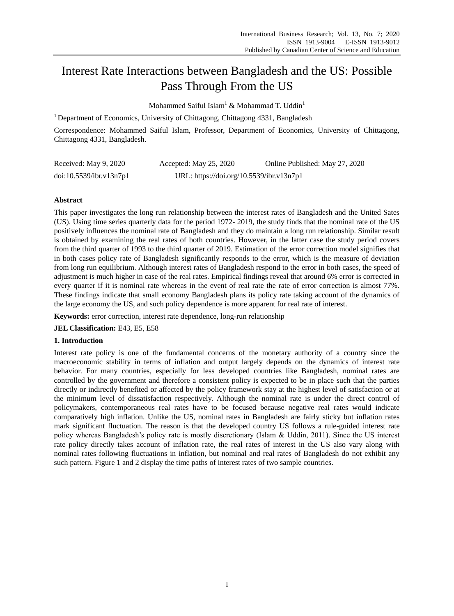# Interest Rate Interactions between Bangladesh and the US: Possible Pass Through From the US

Mohammed Saiful Islam<sup>1</sup> & Mohammad T. Uddin<sup>1</sup>

<sup>1</sup> Department of Economics, University of Chittagong, Chittagong 4331, Bangladesh

Correspondence: Mohammed Saiful Islam, Professor, Department of Economics, University of Chittagong, Chittagong 4331, Bangladesh.

| Received: May 9, 2020   | Accepted: May 25, 2020                   | Online Published: May 27, 2020 |
|-------------------------|------------------------------------------|--------------------------------|
| doi:10.5539/ibr.v13n7p1 | URL: https://doi.org/10.5539/ibr.v13n7p1 |                                |

# **Abstract**

This paper investigates the long run relationship between the interest rates of Bangladesh and the United Sates (US). Using time series quarterly data for the period 1972- 2019, the study finds that the nominal rate of the US positively influences the nominal rate of Bangladesh and they do maintain a long run relationship. Similar result is obtained by examining the real rates of both countries. However, in the latter case the study period covers from the third quarter of 1993 to the third quarter of 2019. Estimation of the error correction model signifies that in both cases policy rate of Bangladesh significantly responds to the error, which is the measure of deviation from long run equilibrium. Although interest rates of Bangladesh respond to the error in both cases, the speed of adjustment is much higher in case of the real rates. Empirical findings reveal that around 6% error is corrected in every quarter if it is nominal rate whereas in the event of real rate the rate of error correction is almost 77%. These findings indicate that small economy Bangladesh plans its policy rate taking account of the dynamics of the large economy the US, and such policy dependence is more apparent for real rate of interest.

**Keywords:** error correction, interest rate dependence, long-run relationship

**JEL Classification:** E43, E5, E58

# **1. Introduction**

Interest rate policy is one of the fundamental concerns of the monetary authority of a country since the macroeconomic stability in terms of inflation and output largely depends on the dynamics of interest rate behavior. For many countries, especially for less developed countries like Bangladesh, nominal rates are controlled by the government and therefore a consistent policy is expected to be in place such that the parties directly or indirectly benefited or affected by the policy framework stay at the highest level of satisfaction or at the minimum level of dissatisfaction respectively. Although the nominal rate is under the direct control of policymakers, contemporaneous real rates have to be focused because negative real rates would indicate comparatively high inflation. Unlike the US, nominal rates in Bangladesh are fairly sticky but inflation rates mark significant fluctuation. The reason is that the developed country US follows a rule-guided interest rate policy whereas Bangladesh's policy rate is mostly discretionary (Islam & Uddin, 2011). Since the US interest rate policy directly takes account of inflation rate, the real rates of interest in the US also vary along with nominal rates following fluctuations in inflation, but nominal and real rates of Bangladesh do not exhibit any such pattern. Figure 1 and 2 display the time paths of interest rates of two sample countries.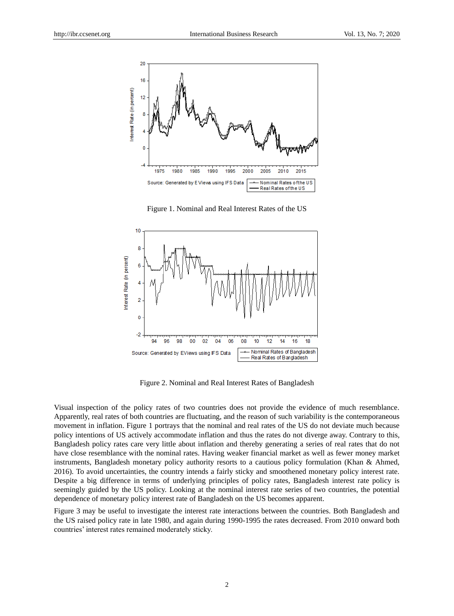

Figure 1. Nominal and Real Interest Rates of the US



Figure 2. Nominal and Real Interest Rates of Bangladesh

Visual inspection of the policy rates of two countries does not provide the evidence of much resemblance. Apparently, real rates of both countries are fluctuating, and the reason of such variability is the contemporaneous movement in inflation. Figure 1 portrays that the nominal and real rates of the US do not deviate much because policy intentions of US actively accommodate inflation and thus the rates do not diverge away. Contrary to this, Bangladesh policy rates care very little about inflation and thereby generating a series of real rates that do not have close resemblance with the nominal rates. Having weaker financial market as well as fewer money market instruments, Bangladesh monetary policy authority resorts to a cautious policy formulation (Khan & Ahmed, 2016). To avoid uncertainties, the country intends a fairly sticky and smoothened monetary policy interest rate. Despite a big difference in terms of underlying principles of policy rates, Bangladesh interest rate policy is seemingly guided by the US policy. Looking at the nominal interest rate series of two countries, the potential dependence of monetary policy interest rate of Bangladesh on the US becomes apparent.

Figure 3 may be useful to investigate the interest rate interactions between the countries. Both Bangladesh and the US raised policy rate in late 1980, and again during 1990-1995 the rates decreased. From 2010 onward both countries' interest rates remained moderately sticky.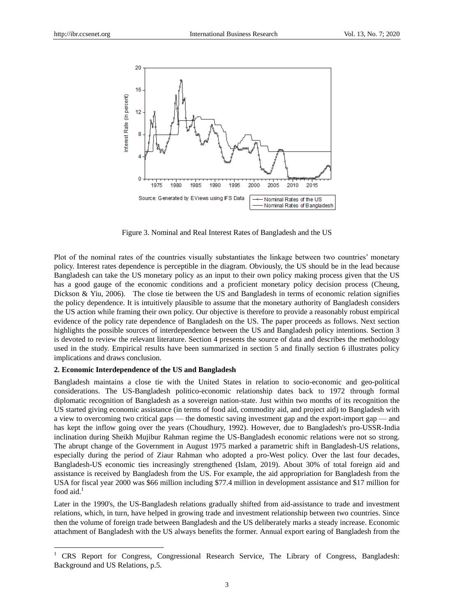

Figure 3. Nominal and Real Interest Rates of Bangladesh and the US

Plot of the nominal rates of the countries visually substantiates the linkage between two countries' monetary policy. Interest rates dependence is perceptible in the diagram. Obviously, the US should be in the lead because Bangladesh can take the US monetary policy as an input to their own policy making process given that the US has a good gauge of the economic conditions and a proficient monetary policy decision process (Cheung, Dickson & Yiu, 2006). The close tie between the US and Bangladesh in terms of economic relation signifies the policy dependence. It is intuitively plausible to assume that the monetary authority of Bangladesh considers the US action while framing their own policy. Our objective is therefore to provide a reasonably robust empirical evidence of the policy rate dependence of Bangladesh on the US. The paper proceeds as follows. Next section highlights the possible sources of interdependence between the US and Bangladesh policy intentions. Section 3 is devoted to review the relevant literature. Section 4 presents the source of data and describes the methodology used in the study. Empirical results have been summarized in section 5 and finally section 6 illustrates policy implications and draws conclusion.

## **2. Economic Interdependence of the US and Bangladesh**

-

Bangladesh maintains a close tie with the United States in relation to socio-economic and geo-political considerations. The US-Bangladesh politico-economic relationship dates back to 1972 through formal diplomatic recognition of Bangladesh as a sovereign nation-state. Just within two months of its recognition the US started giving economic assistance (in terms of food aid, commodity aid, and project aid) to Bangladesh with a view to overcoming two critical gaps — the domestic saving investment gap and the export-import gap — and has kept the inflow going over the years (Choudhury, 1992). However, due to Bangladesh's pro-USSR-India inclination during Sheikh Mujibur Rahman regime the US-Bangladesh economic relations were not so strong. The abrupt change of the Government in August 1975 marked a parametric shift in Bangladesh-US relations, especially during the period of Ziaur Rahman who adopted a pro-West policy. Over the last four decades, Bangladesh-US economic ties increasingly strengthened (Islam, 2019). About 30% of total foreign aid and assistance is received by Bangladesh from the US. For example, the aid appropriation for Bangladesh from the USA for fiscal year 2000 was \$66 million including \$77.4 million in development assistance and \$17 million for food aid. $<sup>1</sup>$ </sup>

Later in the 1990's, the US-Bangladesh relations gradually shifted from aid-assistance to trade and investment relations, which, in turn, have helped in growing trade and investment relationship between two countries. Since then the volume of foreign trade between Bangladesh and the US deliberately marks a steady increase. Economic attachment of Bangladesh with the US always benefits the former. Annual export earing of Bangladesh from the

<sup>1</sup> CRS Report for Congress, Congressional Research Service, The Library of Congress, Bangladesh: Background and US Relations, p.5.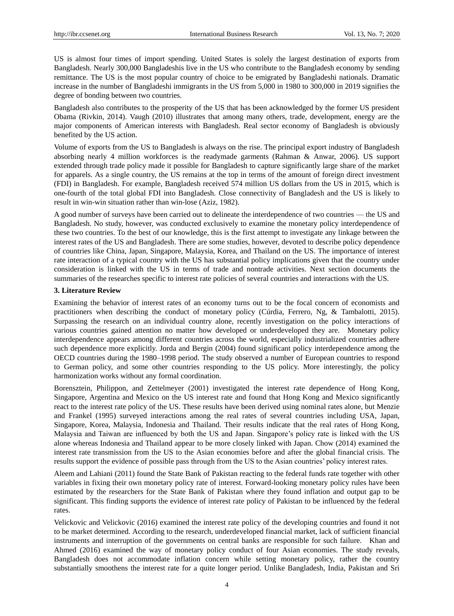US is almost four times of import spending. United States is solely the largest destination of exports from Bangladesh. Nearly 300,000 Bangladeshis live in the US who contribute to the Bangladesh economy by sending remittance. The US is the most popular country of choice to be emigrated by Bangladeshi nationals. Dramatic increase in the number of Bangladeshi immigrants in the US from 5,000 in 1980 to 300,000 in 2019 signifies the degree of bonding between two countries.

Bangladesh also contributes to the prosperity of the US that has been acknowledged by the former US president Obama (Rivkin, 2014). Vaugh (2010) illustrates that among many others, trade, development, energy are the major components of American interests with Bangladesh. Real sector economy of Bangladesh is obviously benefited by the US action.

Volume of exports from the US to Bangladesh is always on the rise. The principal export industry of Bangladesh absorbing nearly 4 million workforces is the readymade garments (Rahman & Anwar, 2006). US support extended through trade policy made it possible for Bangladesh to capture significantly large share of the market for apparels. As a single country, the US remains at the top in terms of the amount of foreign direct investment (FDI) in Bangladesh. For example, Bangladesh received 574 million US dollars from the US in 2015, which is one-fourth of the total global FDI into Bangladesh. Close connectivity of Bangladesh and the US is likely to result in win-win situation rather than win-lose (Aziz, 1982).

A good number of surveys have been carried out to delineate the interdependence of two countries — the US and Bangladesh. No study, however, was conducted exclusively to examine the monetary policy interdependence of these two countries. To the best of our knowledge, this is the first attempt to investigate any linkage between the interest rates of the US and Bangladesh. There are some studies, however, devoted to describe policy dependence of countries like China, Japan, Singapore, Malaysia, Korea, and Thailand on the US. The importance of interest rate interaction of a typical country with the US has substantial policy implications given that the country under consideration is linked with the US in terms of trade and nontrade activities. Next section documents the summaries of the researches specific to interest rate policies of several countries and interactions with the US.

## **3. Literature Review**

Examining the behavior of interest rates of an economy turns out to be the focal concern of economists and practitioners when describing the conduct of monetary policy (Cúrdia, Ferrero, Ng, & Tambalotti, 2015). Surpassing the research on an individual country alone, recently investigation on the policy interactions of various countries gained attention no matter how developed or underdeveloped they are. Monetary policy interdependence appears among different countries across the world, especially industrialized countries adhere such dependence more explicitly. Jorda and Bergin (2004) found significant policy interdependence among the OECD countries during the 1980–1998 period. The study observed a number of European countries to respond to German policy, and some other countries responding to the US policy. More interestingly, the policy harmonization works without any formal coordination.

Borensztein, Philippon, and Zettelmeyer (2001) investigated the interest rate dependence of Hong Kong, Singapore, Argentina and Mexico on the US interest rate and found that Hong Kong and Mexico significantly react to the interest rate policy of the US. These results have been derived using nominal rates alone, but Menzie and Frankel (1995) surveyed interactions among the real rates of several countries including USA, Japan, Singapore, Korea, Malaysia, Indonesia and Thailand. Their results indicate that the real rates of Hong Kong, Malaysia and Taiwan are influenced by both the US and Japan. Singapore's policy rate is linked with the US alone whereas Indonesia and Thailand appear to be more closely linked with Japan. Chow (2014) examined the interest rate transmission from the US to the Asian economies before and after the global financial crisis. The results support the evidence of possible pass through from the US to the Asian countries' policy interest rates.

Aleem and Lahiani (2011) found the State Bank of Pakistan reacting to the federal funds rate together with other variables in fixing their own monetary policy rate of interest. Forward-looking monetary policy rules have been estimated by the researchers for the State Bank of Pakistan where they found inflation and output gap to be significant. This finding supports the evidence of interest rate policy of Pakistan to be influenced by the federal rates.

Velickovic and Velickovic (2016) examined the interest rate policy of the developing countries and found it not to be market determined. According to the research, underdeveloped financial market, lack of sufficient financial instruments and interruption of the governments on central banks are responsible for such failure. Khan and Ahmed (2016) examined the way of monetary policy conduct of four Asian economies. The study reveals, Bangladesh does not accommodate inflation concern while setting monetary policy, rather the country substantially smoothens the interest rate for a quite longer period. Unlike Bangladesh, India, Pakistan and Sri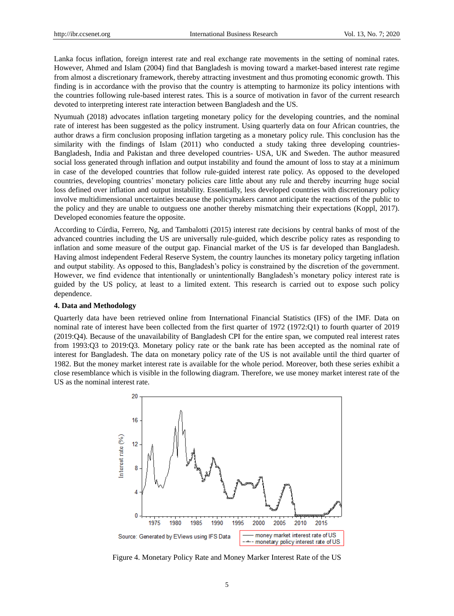Lanka focus inflation, foreign interest rate and real exchange rate movements in the setting of nominal rates. However, Ahmed and Islam (2004) find that Bangladesh is moving toward a market-based interest rate regime from almost a discretionary framework, thereby attracting investment and thus promoting economic growth. This finding is in accordance with the proviso that the country is attempting to harmonize its policy intentions with the countries following rule-based interest rates. This is a source of motivation in favor of the current research devoted to interpreting interest rate interaction between Bangladesh and the US.

Nyumuah (2018) advocates inflation targeting monetary policy for the developing countries, and the nominal rate of interest has been suggested as the policy instrument. Using quarterly data on four African countries, the author draws a firm conclusion proposing inflation targeting as a monetary policy rule. This conclusion has the similarity with the findings of Islam (2011) who conducted a study taking three developing countries-Bangladesh, India and Pakistan and three developed countries- USA, UK and Sweden. The author measured social loss generated through inflation and output instability and found the amount of loss to stay at a minimum in case of the developed countries that follow rule-guided interest rate policy. As opposed to the developed countries, developing countries' monetary policies care little about any rule and thereby incurring huge social loss defined over inflation and output instability. Essentially, less developed countries with discretionary policy involve multidimensional uncertainties because the policymakers cannot anticipate the reactions of the public to the policy and they are unable to outguess one another thereby mismatching their expectations (Koppl, 2017). Developed economies feature the opposite.

According to Cúrdia, Ferrero, Ng, and Tambalotti (2015) interest rate decisions by central banks of most of the advanced countries including the US are universally rule-guided, which describe policy rates as responding to inflation and some measure of the output gap. Financial market of the US is far developed than Bangladesh. Having almost independent Federal Reserve System, the country launches its monetary policy targeting inflation and output stability. As opposed to this, Bangladesh's policy is constrained by the discretion of the government. However, we find evidence that intentionally or unintentionally Bangladesh's monetary policy interest rate is guided by the US policy, at least to a limited extent. This research is carried out to expose such policy dependence.

## **4. Data and Methodology**

Quarterly data have been retrieved online from International Financial Statistics (IFS) of the IMF. Data on nominal rate of interest have been collected from the first quarter of 1972 (1972:Q1) to fourth quarter of 2019 (2019:Q4). Because of the unavailability of Bangladesh CPI for the entire span, we computed real interest rates from 1993:Q3 to 2019:Q3. Monetary policy rate or the bank rate has been accepted as the nominal rate of interest for Bangladesh. The data on monetary policy rate of the US is not available until the third quarter of 1982. But the money market interest rate is available for the whole period. Moreover, both these series exhibit a close resemblance which is visible in the following diagram. Therefore, we use money market interest rate of the US as the nominal interest rate.



Figure 4. Monetary Policy Rate and Money Marker Interest Rate of the US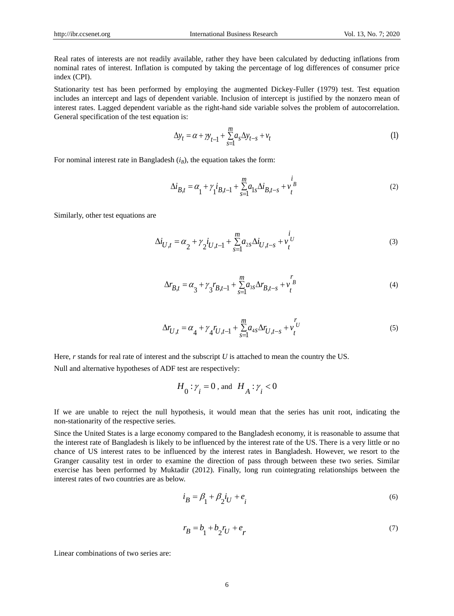Real rates of interests are not readily available, rather they have been calculated by deducting inflations from nominal rates of interest. Inflation is computed by taking the percentage of log differences of consumer price index (CPI).

Stationarity test has been performed by employing the augmented Dickey-Fuller (1979) test. Test equation includes an intercept and lags of dependent variable. Inclusion of intercept is justified by the nonzero mean of interest rates. Lagged dependent variable as the right-hand side variable solves the problem of autocorrelation. General specification of the test equation is:

$$
\Delta y_t = \alpha + \gamma y_{t-1} + \sum_{s=1}^{m} a_s \Delta y_{t-s} + v_t \tag{1}
$$

For nominal interest rate in Bangladesh  $(i_B)$ , the equation takes the form:

$$
\Delta i_{B,t} = \alpha_1 + \gamma_1 i_{B,t-1} + \sum_{s=1}^{m} a_{1s} \Delta i_{B,t-s} + v_t^{i}
$$
\n(2)

Similarly, other test equations are

$$
\Delta i_{U,t} = \alpha_2 + \gamma_2 i_{U,t-1} + \sum_{s=1}^{m} a_{2s} \Delta i_{U,t-s} + v_t^{i_U}
$$
\n(3)

$$
\Delta r_{B,t} = \alpha_3 + \gamma_3 r_{B,t-1} + \sum_{s=1}^{m} a_{3s} \Delta r_{B,t-s} + v_t^{\{F\}} \tag{4}
$$

$$
\Delta r_{U,t} = \alpha_4 + \gamma_4 r_{U,t-1} + \sum_{s=1}^{m} a_{4s} \Delta r_{U,t-s} + v_t^{r_U}
$$
\n<sup>(5)</sup>

Here, *r* stands for real rate of interest and the subscript *U* is attached to mean the country the US. Null and alternative hypotheses of ADF test are respectively:

$$
H_0: \gamma_i = 0 \text{ , and } H_A: \gamma_i < 0
$$

If we are unable to reject the null hypothesis, it would mean that the series has unit root, indicating the non-stationarity of the respective series.

Since the United States is a large economy compared to the Bangladesh economy, it is reasonable to assume that the interest rate of Bangladesh is likely to be influenced by the interest rate of the US. There is a very little or no chance of US interest rates to be influenced by the interest rates in Bangladesh. However, we resort to the Granger causality test in order to examine the direction of pass through between these two series. Similar exercise has been performed by Muktadir (2012). Finally, long run cointegrating relationships between the interest rates of two countries are as below.

$$
i_B = \beta_1 + \beta_2 i_U + e_i \tag{6}
$$

$$
r_B = b_1 + b_2 r_U + e_r \tag{7}
$$

Linear combinations of two series are: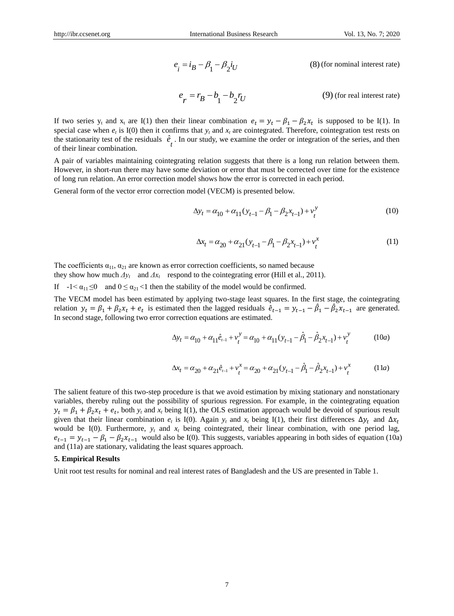$$
e_i = i_B - \beta_1 - \beta_2 i_U
$$
 (8) (for nominal interest rate)  

$$
e_r = r_B - b_1 - b_2 r_U
$$
 (9) (for real interest rate)

If two series  $y_t$  and  $x_t$  are I(1) then their linear combination  $e_t = y_t - \beta_1 - \beta_2 x_t$  is supposed to be I(1). In special case when  $e_t$  is I(0) then it confirms that  $y_t$  and  $x_t$  are cointegrated. Therefore, cointegration test rests on the stationarity test of the residuals  $\hat{e}_t$ . In our study, we examine the order or integration of the series, and then of their linear combination of their linear combination.

A pair of variables maintaining cointegrating relation suggests that there is a long run relation between them. However, in short-run there may have some deviation or error that must be corrected over time for the existence of long run relation. An error correction model shows how the error is corrected in each period.

General form of the vector error correction model (VECM) is presented below.

$$
\Delta y_t = \alpha_{10} + \alpha_{11} (y_{t-1} - \beta_1 - \beta_2 x_{t-1}) + v_t^y
$$
\n(10)

$$
\Delta x_t = \alpha_{20} + \alpha_{21} (y_{t-1} - \beta_1 - \beta_2 x_{t-1}) + v_t^x
$$
\n(11)

The coefficients  $\alpha_{11}$ ,  $\alpha_{21}$  are known as error correction coefficients, so named because they show how much  $\Delta y_t$  and  $\Delta x_t$  respond to the cointegrating error (Hill et al., 2011).

If  $-1 < \alpha_{11} \le 0$  and  $0 \le \alpha_{21} < 1$  then the stability of the model would be confirmed.

The VECM model has been estimated by applying two-stage least squares. In the first stage, the cointegrating relation  $y_t = \beta_1 + \beta_2 x_t + e_t$  is estimated then the lagged residuals  $\hat{e}_{t-1} = y_{t-1} - \hat{\beta}_1 - \hat{\beta}_2 x_{t-1}$  are generated. In second stage, following two error correction equations are estimated.

$$
\Delta y_t = \alpha_{10} + \alpha_{11}\hat{e}_{t-1} + v_t^y = \alpha_{10} + \alpha_{11}(y_{t-1} - \hat{\beta}_1 - \hat{\beta}_2 x_{t-1}) + v_t^y
$$
 (10*a*)

$$
\Delta x_t = \alpha_{20} + \alpha_{21} \hat{e}_{t-1} + v_t^x = \alpha_{20} + \alpha_{21} (y_{t-1} - \hat{\beta}_1 - \hat{\beta}_2 x_{t-1}) + v_t^x
$$
 (11*a*)

The salient feature of this two-step procedure is that we avoid estimation by mixing stationary and nonstationary variables, thereby ruling out the possibility of spurious regression. For example, in the cointegrating equation  $y_t = \beta_1 + \beta_2 x_t + e_t$ , both  $y_t$  and  $x_t$  being I(1), the OLS estimation approach would be devoid of spurious result given that their linear combination  $e_t$  is I(0). Again  $y_t$  and  $x_t$  being I(1), their first differences  $\Delta y_t$  and  $\Delta x_t$ would be I(0). Furthermore,  $y_t$  and  $x_t$  being cointegrated, their linear combination, with one period lag,  $e_{t-1} = y_{t-1} - \beta_1 - \beta_2 x_{t-1}$  would also be I(0). This suggests, variables appearing in both sides of equation (10a) and (11a) are stationary, validating the least squares approach.

## **5. Empirical Results**

Unit root test results for nominal and real interest rates of Bangladesh and the US are presented in Table 1.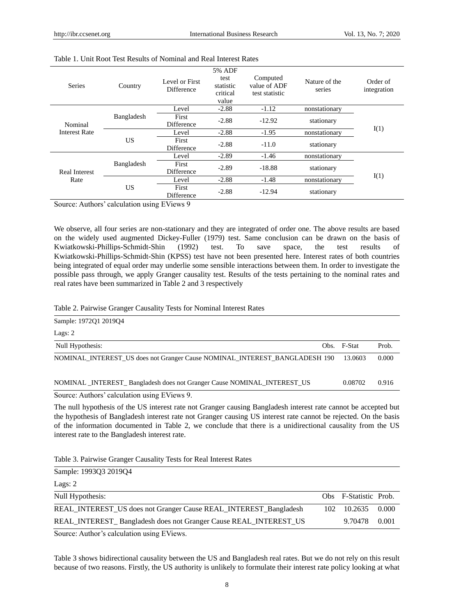| <b>Series</b>                | Country                           | Level or First<br>Difference | 5% ADF<br>test<br>statistic<br>critical<br>value | Computed<br>value of ADF<br>test statistic | Nature of the<br>series | Order of<br>integration |
|------------------------------|-----------------------------------|------------------------------|--------------------------------------------------|--------------------------------------------|-------------------------|-------------------------|
|                              |                                   | Level                        | $-2.88$                                          | $-1.12$                                    | nonstationary           |                         |
| Nominal                      | Bangladesh                        | First<br>Difference          | $-2.88$                                          | $-12.92$                                   | stationary              |                         |
| Interest Rate                |                                   | Level                        | $-2.88$                                          | $-1.95$                                    | nonstationary           | I(1)                    |
|                              | US                                | <b>First</b><br>Difference   | $-2.88$                                          | $-11.0$                                    | stationary              |                         |
|                              |                                   | Level                        | $-2.89$                                          | $-1.46$                                    | nonstationary           |                         |
| <b>Real Interest</b><br>Rate | Bangladesh<br>First<br>Difference |                              | $-2.89$                                          | $-18.88$                                   | stationary              |                         |
|                              |                                   | Level                        | $-2.88$                                          | $-1.48$                                    | nonstationary           | I(1)                    |
|                              | US<br>First<br>Difference         | $-2.88$                      | $-12.94$                                         | stationary                                 |                         |                         |

#### Table 1. Unit Root Test Results of Nominal and Real Interest Rates

Source: Authors' calculation using EViews 9

We observe, all four series are non-stationary and they are integrated of order one. The above results are based on the widely used augmented Dickey-Fuller (1979) test. Same conclusion can be drawn on the basis of Kwiatkowski-Phillips-Schmidt-Shin (1992) test. To save space, the test results of Kwiatkowski-Phillips-Schmidt-Shin (KPSS) test have not been presented here. Interest rates of both countries being integrated of equal order may underlie some sensible interactions between them. In order to investigate the possible pass through, we apply Granger causality test. Results of the tests pertaining to the nominal rates and real rates have been summarized in Table 2 and 3 respectively

#### Table 2. Pairwise Granger Causality Tests for Nominal Interest Rates

Sample: 1972Q1 2019Q4

| Lags: $2$                                                                  |             |       |
|----------------------------------------------------------------------------|-------------|-------|
| Null Hypothesis:                                                           | Obs. F-Stat | Prob. |
| NOMINAL INTEREST US does not Granger Cause NOMINAL INTEREST BANGLADESH 190 | 13.0603     | 0.000 |
| NOMINAL INTEREST Bangladesh does not Granger Cause NOMINAL INTEREST US     | 0.08702     | 0.916 |

Source: Authors' calculation using EViews 9.

The null hypothesis of the US interest rate not Granger causing Bangladesh interest rate cannot be accepted but the hypothesis of Bangladesh interest rate not Granger causing US interest rate cannot be rejected. On the basis of the information documented in Table 2, we conclude that there is a unidirectional causality from the US interest rate to the Bangladesh interest rate.

Table 3. Pairwise Granger Causality Tests for Real Interest Rates

Lags: 2

| Null Hypothesis:                                                 | Obs F-Statistic Prob. |       |
|------------------------------------------------------------------|-----------------------|-------|
| REAL_INTEREST_US does not Granger Cause REAL_INTEREST_Bangladesh | 102 10.2635           | 0.000 |
| REAL_INTEREST_Bangladesh does not Granger Cause REAL_INTEREST_US | 9.70478               | 0.001 |
| Source: Author's coloulation using EViews                        |                       |       |

Source: Author's calculation using EViews.

Table 3 shows bidirectional causality between the US and Bangladesh real rates. But we do not rely on this result because of two reasons. Firstly, the US authority is unlikely to formulate their interest rate policy looking at what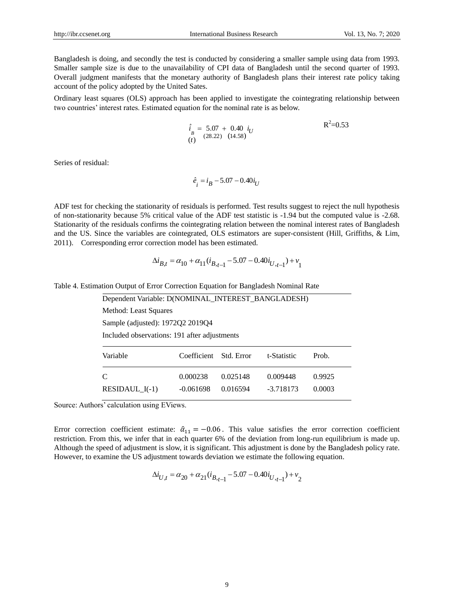Bangladesh is doing, and secondly the test is conducted by considering a smaller sample using data from 1993. Smaller sample size is due to the unavailability of CPI data of Bangladesh until the second quarter of 1993. Overall judgment manifests that the monetary authority of Bangladesh plans their interest rate policy taking account of the policy adopted by the United Sates.

Ordinary least squares (OLS) approach has been applied to investigate the cointegrating relationship between two countries' interest rates. Estimated equation for the nominal rate is as below.

$$
\hat{i}_{B} = 5.07 + 0.40 \, i_{U}
$$
\n
$$
(t) \quad (28.22) \quad (14.58)
$$
\n
$$
R^2 = 0.53
$$

Series of residual:

$$
\hat{e}_i = i_B - 5.07 - 0.40i_U
$$

ADF test for checking the stationarity of residuals is performed. Test results suggest to reject the null hypothesis of non-stationarity because 5% critical value of the ADF test statistic is -1.94 but the computed value is -2.68. Stationarity of the residuals confirms the cointegrating relation between the nominal interest rates of Bangladesh and the US. Since the variables are cointegrated, OLS estimators are super-consistent (Hill, Griffiths, & Lim, 2011). Corresponding error correction model has been estimated.

$$
\Delta i_{B,t} = \alpha_{10} + \alpha_{11} (i_{B,t-1} - 5.07 - 0.40 i_{U,t-1}) + v_1
$$

|  | Table 4. Estimation Output of Error Correction Equation for Bangladesh Nominal Rate |  |
|--|-------------------------------------------------------------------------------------|--|
|  |                                                                                     |  |

| Dependent Variable: D(NOMINAL_INTEREST_BANGLADESH) |             |            |             |        |  |  |  |
|----------------------------------------------------|-------------|------------|-------------|--------|--|--|--|
| <b>Method: Least Squares</b>                       |             |            |             |        |  |  |  |
| Sample (adjusted): 1972Q2 2019Q4                   |             |            |             |        |  |  |  |
| Included observations: 191 after adjustments       |             |            |             |        |  |  |  |
| Variable                                           | Coefficient | Std. Error | t-Statistic | Prob.  |  |  |  |
| C                                                  | 0.000238    | 0.025148   | 0.009448    | 0.9925 |  |  |  |
| RESIDAUL $I(-1)$                                   | $-0.061698$ | 0.016594   | $-3.718173$ | 0.0003 |  |  |  |

Source: Authors' calculation using EViews.

Error correction coefficient estimate:  $\hat{\alpha}_{11} = -0.06$ . This value satisfies the error correction coefficient restriction. From this, we infer that in each quarter 6% of the deviation from long-run equilibrium is made up. Although the speed of adjustment is slow, it is significant. This adjustment is done by the Bangladesh policy rate. However, to examine the US adjustment towards deviation we estimate the following equation.

$$
\Delta i_{U,t} = \alpha_{20} + \alpha_{21} (i_{B,t-1} - 5.07 - 0.40 i_{U,t-1}) + v_2
$$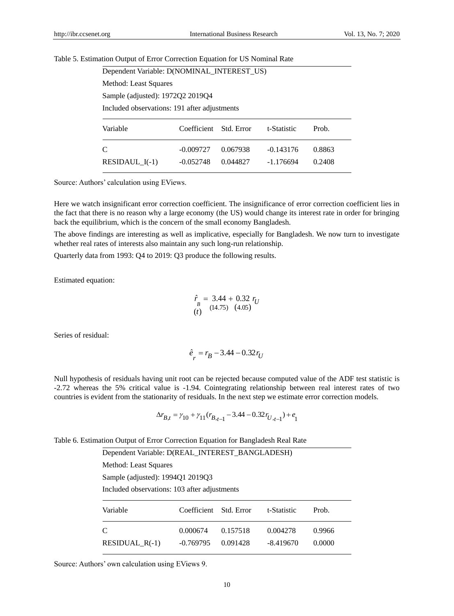# Table 5. Estimation Output of Error Correction Equation for US Nominal Rate

| Dependent Variable: D(NOMINAL_INTEREST_US)                    |                                  |          |             |        |  |  |  |
|---------------------------------------------------------------|----------------------------------|----------|-------------|--------|--|--|--|
| Method: Least Squares                                         |                                  |          |             |        |  |  |  |
|                                                               | Sample (adjusted): 1972Q2 2019Q4 |          |             |        |  |  |  |
| Included observations: 191 after adjustments                  |                                  |          |             |        |  |  |  |
| Variable<br>Coefficient<br>t-Statistic<br>Prob.<br>Std. Error |                                  |          |             |        |  |  |  |
| $\mathcal{C}$                                                 | $-0.009727$                      | 0.067938 | $-0.143176$ | 0.8863 |  |  |  |
| RESIDAUL $I(-1)$                                              | $-0.052748$                      | 0.044827 | $-1.176694$ | 0.2408 |  |  |  |

Source: Authors' calculation using EViews.

Here we watch insignificant error correction coefficient. The insignificance of error correction coefficient lies in the fact that there is no reason why a large economy (the US) would change its interest rate in order for bringing back the equilibrium, which is the concern of the small economy Bangladesh.

The above findings are interesting as well as implicative, especially for Bangladesh. We now turn to investigate whether real rates of interests also maintain any such long-run relationship.

Quarterly data from 1993: Q4 to 2019: Q3 produce the following results.

Estimated equation:

$$
\begin{array}{c}\n\hat{r} = 3.44 + 0.32 \, r_U \\
\hline\nB \quad (14.75) \quad (4.05)\n\end{array}
$$

Series of residual:

$$
\hat{e}_r = r_B - 3.44 - 0.32 r_U
$$

Null hypothesis of residuals having unit root can be rejected because computed value of the ADF test statistic is -2.72 whereas the 5% critical value is -1.94. Cointegrating relationship between real interest rates of two countries is evident from the stationarity of residuals. In the next step we estimate error correction models.

$$
\Delta r_{B,t} = \gamma_{10} + \gamma_{11} (r_{B,t-1} - 3.44 - 0.32 r_{U,t-1}) + e_1
$$

Table 6. Estimation Output of Error Correction Equation for Bangladesh Real Rate

| Dependent Variable: D(REAL_INTEREST_BANGLADESH) |             |            |             |        |  |  |
|-------------------------------------------------|-------------|------------|-------------|--------|--|--|
| Method: Least Squares                           |             |            |             |        |  |  |
| Sample (adjusted): 1994Q1 2019Q3                |             |            |             |        |  |  |
| Included observations: 103 after adjustments    |             |            |             |        |  |  |
| Variable                                        | Coefficient | Std. Error | t-Statistic | Prob.  |  |  |
| C                                               | 0.000674    | 0.157518   | 0.004278    | 0.9966 |  |  |
| RESIDUAL $R(-1)$                                | $-0.769795$ | 0.091428   | $-8.419670$ | 0.0000 |  |  |

Source: Authors' own calculation using EViews 9.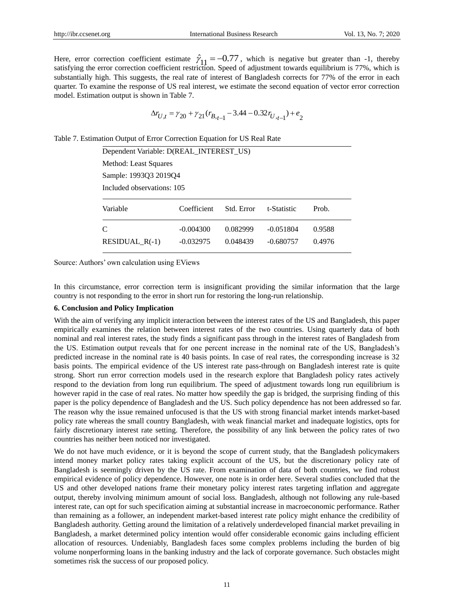Here, error correction coefficient estimate  $\hat{\gamma}_{11} = -0.77$ , which is negative but greater than -1, thereby satisfying the error correction coefficient restriction. Speed of adjustment towards equilibrium is 77%, which is substantially high. This suggests, the real rate of interest of Bangladesh corrects for 77% of the error in each quarter. To examine the response of US real interest, we estimate the second equation of vector error correction model. Estimation output is shown in Table 7.

$$
\Delta r_{U,t} = \gamma_{20} + \gamma_{21}(r_{B,t-1} - 3.44 - 0.32r_{U,t-1}) + e_2
$$

Table 7. Estimation Output of Error Correction Equation for US Real Rate

| Dependent Variable: D(REAL_INTEREST_US) |                            |                      |                            |                  |  |  |
|-----------------------------------------|----------------------------|----------------------|----------------------------|------------------|--|--|
| Method: Least Squares                   |                            |                      |                            |                  |  |  |
| Sample: 1993Q3 2019Q4                   |                            |                      |                            |                  |  |  |
| Included observations: 105              |                            |                      |                            |                  |  |  |
| Variable                                | Coefficient                | Std. Error           | t-Statistic                | Prob.            |  |  |
| C<br>RESIDUAL $R(-1)$                   | $-0.004300$<br>$-0.032975$ | 0.082999<br>0.048439 | $-0.051804$<br>$-0.680757$ | 0.9588<br>0.4976 |  |  |

Source: Authors' own calculation using EViews

In this circumstance, error correction term is insignificant providing the similar information that the large country is not responding to the error in short run for restoring the long-run relationship.

# **6. Conclusion and Policy Implication**

With the aim of verifying any implicit interaction between the interest rates of the US and Bangladesh, this paper empirically examines the relation between interest rates of the two countries. Using quarterly data of both nominal and real interest rates, the study finds a significant pass through in the interest rates of Bangladesh from the US. Estimation output reveals that for one percent increase in the nominal rate of the US, Bangladesh's predicted increase in the nominal rate is 40 basis points. In case of real rates, the corresponding increase is 32 basis points. The empirical evidence of the US interest rate pass-through on Bangladesh interest rate is quite strong. Short run error correction models used in the research explore that Bangladesh policy rates actively respond to the deviation from long run equilibrium. The speed of adjustment towards long run equilibrium is however rapid in the case of real rates. No matter how speedily the gap is bridged, the surprising finding of this paper is the policy dependence of Bangladesh and the US. Such policy dependence has not been addressed so far. The reason why the issue remained unfocused is that the US with strong financial market intends market-based policy rate whereas the small country Bangladesh, with weak financial market and inadequate logistics, opts for fairly discretionary interest rate setting. Therefore, the possibility of any link between the policy rates of two countries has neither been noticed nor investigated.

We do not have much evidence, or it is beyond the scope of current study, that the Bangladesh policymakers intend money market policy rates taking explicit account of the US, but the discretionary policy rate of Bangladesh is seemingly driven by the US rate. From examination of data of both countries, we find robust empirical evidence of policy dependence. However, one note is in order here. Several studies concluded that the US and other developed nations frame their monetary policy interest rates targeting inflation and aggregate output, thereby involving minimum amount of social loss. Bangladesh, although not following any rule-based interest rate, can opt for such specification aiming at substantial increase in macroeconomic performance. Rather than remaining as a follower, an independent market-based interest rate policy might enhance the credibility of Bangladesh authority. Getting around the limitation of a relatively underdeveloped financial market prevailing in Bangladesh, a market determined policy intention would offer considerable economic gains including efficient allocation of resources. Undeniably, Bangladesh faces some complex problems including the burden of big volume nonperforming loans in the banking industry and the lack of corporate governance. Such obstacles might sometimes risk the success of our proposed policy.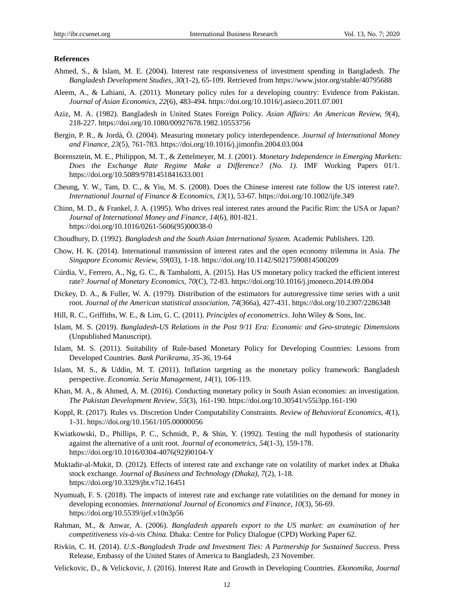## **References**

- Ahmed, S., & Islam, M. E. (2004). Interest rate responsiveness of investment spending in Bangladesh. *The Bangladesh Development Studies*, *30*(1-2), 65-109. Retrieved from <https://www.jstor.org/stable/40795688>
- Aleem, A., & Lahiani, A. (2011). Monetary policy rules for a developing country: Evidence from Pakistan. *Journal of Asian Economics, 22*(6), 483-494.<https://doi.org/10.1016/j.asieco.2011.07.001>
- Aziz, M. A. (1982). Bangladesh in United States Foreign Policy. *Asian Affairs: An American Review, 9*(4), 218-227. https://doi.org/10.1080/00927678.1982.10553756
- Bergin, P. R., & Jordà, Ò. (2004). Measuring monetary policy interdependence. *Journal of International Money and Finance, 23*(5), 761-783.<https://doi.org/10.1016/j.jimonfin.2004.03.004>
- Borensztein, M. E., Philippon, M. T., & Zettelmeyer, M. J. (2001). *Monetary Independence in Emerging Markets: Does the Exchange Rate Regime Make a Difference? (No. 1).* IMF Working Papers 01/1. https://doi.org/10.5089/9781451841633.001
- Cheung, Y. W., Tam, D. C., & Yiu, M. S. (2008). Does the Chinese interest rate follow the US interest rate?. *International Journal of Finance & Economics, 13*(1), 53-67. https://doi.org/10.1002/ijfe.349
- Chinn, M. D., & Frankel, J. A. (1995). Who drives real interest rates around the Pacific Rim: the USA or Japan? *Journal of International Money and Finance, 14*(6), 801-821. [https://doi.org/10.1016/0261-5606\(95\)00038-0](https://doi.org/10.1016/0261-5606(95)00038-0)
- Choudhury, D. (1992). *Bangladesh and the South Asian International System.* Academic Publishers. 120.
- Chow, H. K. (2014). International transmission of interest rates and the open economy trilemma in Asia. *The Singapore Economic Review, 59*(03), 1-18. https://doi.org/10.1142/S0217590814500209
- Cúrdia, V., Ferrero, A., Ng, G. C., & Tambalotti, A. (2015). Has US monetary policy tracked the efficient interest rate? *Journal of Monetary Economics*, *70*(C), 72-83[. https://doi.org/10.1016/j.jmoneco.2014.09.004](https://doi.org/10.1016/j.jmoneco.2014.09.004)
- Dickey, D. A., & Fuller, W. A. (1979). Distribution of the estimators for autoregressive time series with a unit root. *Journal of the American statistical association, 74*(366a), 427-431. https://doi.org/10.2307/2286348
- Hill, R. C., Griffiths, W. E., & Lim, G. C. (2011). *Principles of econometrics*. John Wiley & Sons, Inc.
- Islam, M. S. (2019). *Bangladesh-US Relations in the Post 9/11 Era: Economic and Geo-strategic Dimensions* (Unpublished Manuscript).
- Islam, M. S. (2011). Suitability of Rule-based Monetary Policy for Developing Countries: Lessons from Developed Countries. *Bank Parikrama*, *35-36,* 19-64
- Islam, M. S., & Uddin, M. T. (2011). Inflation targeting as the monetary policy framework: Bangladesh perspective. *Economia. Seria Management, 14*(1), 106-119.
- Khan, M. A., & Ahmed, A. M. (2016). Conducting monetary policy in South Asian economies: an investigation. *The Pakistan Development Review*, *55*(3), 161-190. https://doi.org/10.30541/v55i3pp.161-190
- Koppl, R. (2017). Rules vs. Discretion Under Computability Constraints. *Review of Behavioral Economics*, *4*(1), 1-31. https://doi.org/10.1561/105.00000056
- Kwiatkowski, D., Phillips, P. C., Schmidt, P., & Shin, Y. (1992). Testing the null hypothesis of stationarity against the alternative of a unit root. *Journal of econometrics, 54*(1-3), 159-178. https://doi.org/10.1016/0304-4076(92)90104-Y
- Muktadir-al-Mukit, D. (2012). Effects of interest rate and exchange rate on volatility of market index at Dhaka stock exchange. *Journal of Business and Technology (Dhaka), 7*(2), 1-18. https://doi.org/10.3329/jbt.v7i2.16451
- Nyumuah, F. S. (2018). The impacts of interest rate and exchange rate volatilities on the demand for money in developing economies. *International Journal of Economics and Finance, 10*(3), 56-69. https://doi.org/10.5539/ijef.v10n3p56
- Rahman, M., & Anwar, A. (2006). *Bangladesh apparels export to the US market: an examination of her competitiveness vis-à-vis China.* Dhaka: Centre for Policy Dialogue (CPD) Working Paper 62.
- Rivkin, C. H. (2014). *U.S.-Bangladesh Trade and Investment Ties: A Partnership for Sustained Success*. Press Release, Embassy of the United States of America to Bangladesh, 23 November.
- Velickovic, D., & Velickovic, J. (2016). Interest Rate and Growth in Developing Countries. *Ekonomika, Journal*